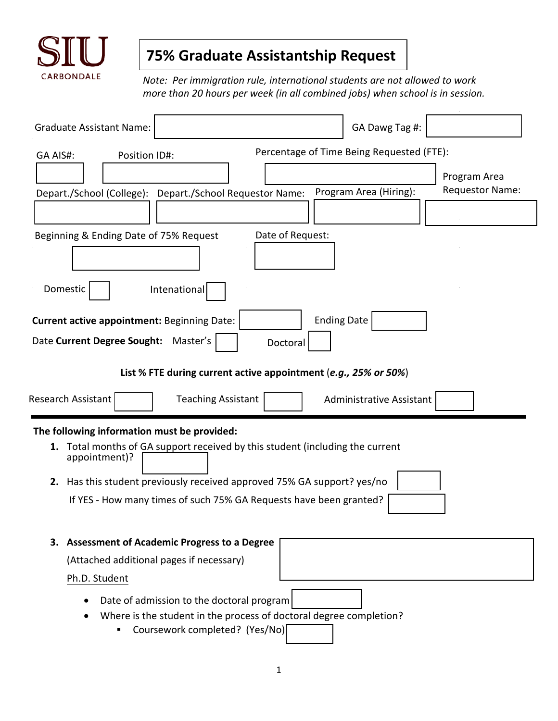

## **75% Graduate Assistantship Request**

*Note: Per immigration rule, international students are not allowed to work more than 20 hours per week (in all combined jobs) when school is in session.* 

| <b>Graduate Assistant Name:</b>                                                                                                                                                                                                    | GA Dawg Tag #:                                            |  |  |  |
|------------------------------------------------------------------------------------------------------------------------------------------------------------------------------------------------------------------------------------|-----------------------------------------------------------|--|--|--|
| GA AIS#:<br>Position ID#:                                                                                                                                                                                                          | Percentage of Time Being Requested (FTE):                 |  |  |  |
| Depart./School (College): Depart./School Requestor Name:                                                                                                                                                                           | Program Area<br>Requestor Name:<br>Program Area (Hiring): |  |  |  |
|                                                                                                                                                                                                                                    |                                                           |  |  |  |
| Date of Request:<br>Beginning & Ending Date of 75% Request                                                                                                                                                                         |                                                           |  |  |  |
| Domestic<br>Intenational                                                                                                                                                                                                           |                                                           |  |  |  |
| <b>Ending Date</b><br>Current active appointment: Beginning Date:<br>Date Current Degree Sought: Master's<br>Doctoral                                                                                                              |                                                           |  |  |  |
| List % FTE during current active appointment (e.g., 25% or 50%)                                                                                                                                                                    |                                                           |  |  |  |
| Research Assistant<br><b>Teaching Assistant</b><br><b>Administrative Assistant</b>                                                                                                                                                 |                                                           |  |  |  |
| The following information must be provided:<br><b>1.</b> Total months of GA support received by this student (including the current<br>appointment)?<br>Has this student previously received approved 75% GA support? yes/no<br>2. |                                                           |  |  |  |
| If YES - How many times of such 75% GA Requests have been granted?                                                                                                                                                                 |                                                           |  |  |  |
| 3. Assessment of Academic Progress to a Degree                                                                                                                                                                                     |                                                           |  |  |  |
| (Attached additional pages if necessary)                                                                                                                                                                                           |                                                           |  |  |  |
| Ph.D. Student                                                                                                                                                                                                                      |                                                           |  |  |  |
| Date of admission to the doctoral program<br>Where is the student in the process of doctoral degree completion?<br>Coursework completed? (Yes/No)                                                                                  |                                                           |  |  |  |